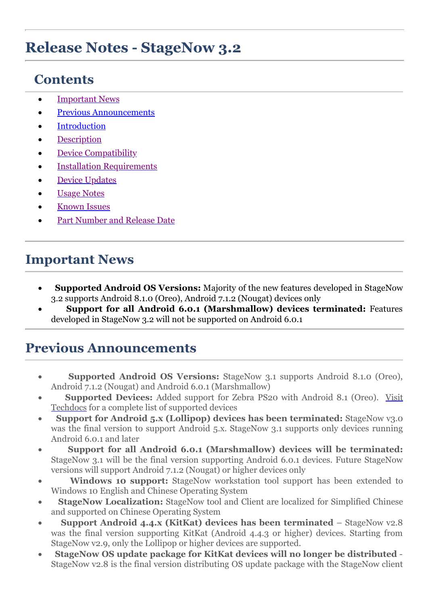# **Release Notes - StageNow 3.2**

## **Contents**

- · [Important News](#page-0-0)
- [Previous Announcements](#page-0-1)
- **[Introduction](#page-1-0)**
- **[Description](#page-1-1)**
- [Device Compatibility](#page-4-0)
- **[Installation Requirements](#page-4-1)**
- **Device [Updates](#page-4-2)**
- **[Usage Notes](#page-4-3)**
- **[Known Issues](#page-5-0)**
- [Part Number and Release Date](#page-5-1)

## <span id="page-0-0"></span>**Important News**

- **Supported Android OS Versions:** Majority of the new features developed in StageNow 3.2 supports Android 8.1.0 (Oreo), Android 7.1.2 (Nougat) devices only
- · **Support for all Android 6.0.1 (Marshmallow) devices terminated:** Features developed in StageNow 3.2 will not be supported on Android 6.0.1

### <span id="page-0-1"></span>**Previous Announcements**

- **Supported Android OS Versions:** StageNow 3.1 supports Android 8.1.0 (Oreo), Android 7.1.2 (Nougat) and Android 6.0.1 (Marshmallow)
- · **Supported Devices:** [Added support for Zebra PS20 with Android 8.1 \(Oreo\). Visit](http://techdocs.zebra.com/stagenow/3-1/about/) Techdocs for a complete list of supported devices
- · **Support for Android 5.x (Lollipop) devices has been terminated:** StageNow v3.0 was the final version to support Android 5.x. StageNow 3.1 supports only devices running Android 6.0.1 and later
- · **Support for all Android 6.0.1 (Marshmallow) devices will be terminated:** StageNow 3.1 will be the final version supporting Android 6.0.1 devices. Future StageNow versions will support Android 7.1.2 (Nougat) or higher devices only
- · **Windows 10 support:** StageNow workstation tool support has been extended to Windows 10 English and Chinese Operating System
- **StageNow Localization:** StageNow tool and Client are localized for Simplified Chinese and supported on Chinese Operating System
- · **Support Android 4.4.x (KitKat) devices has been terminated**  StageNow v2.8 was the final version supporting KitKat (Android 4.4.3 or higher) devices. Starting from StageNow v2.9, only the Lollipop or higher devices are supported.
- · **StageNow OS update package for KitKat devices will no longer be distributed**  StageNow v2.8 is the final version distributing OS update package with the StageNow client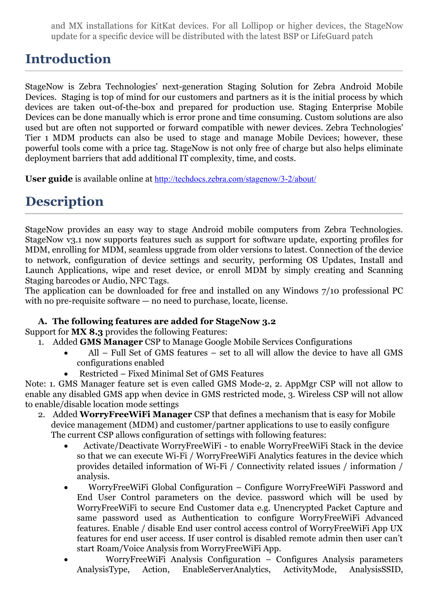and MX installations for KitKat devices. For all Lollipop or higher devices, the StageNow update for a specific device will be distributed with the latest BSP or LifeGuard patch

### <span id="page-1-0"></span>**Introduction**

StageNow is Zebra Technologies' next-generation Staging Solution for Zebra Android Mobile Devices. Staging is top of mind for our customers and partners as it is the initial process by which devices are taken out-of-the-box and prepared for production use. Staging Enterprise Mobile Devices can be done manually which is error prone and time consuming. Custom solutions are also used but are often not supported or forward compatible with newer devices. Zebra Technologies' Tier 1 MDM products can also be used to stage and manage Mobile Devices; however, these powerful tools come with a price tag. StageNow is not only free of charge but also helps eliminate deployment barriers that add additional IT complexity, time, and costs.

**User guide** is available online at <http://techdocs.zebra.com/stagenow/3-2/about/>

## <span id="page-1-1"></span>**Description**

StageNow provides an easy way to stage Android mobile computers from Zebra Technologies. StageNow v3.1 now supports features such as support for software update, exporting profiles for MDM, enrolling for MDM, seamless upgrade from older versions to latest. Connection of the device to network, configuration of device settings and security, performing OS Updates, Install and Launch Applications, wipe and reset device, or enroll MDM by simply creating and Scanning Staging barcodes or Audio, NFC Tags.

The application can be downloaded for free and installed on any Windows 7/10 professional PC with no pre-requisite software — no need to purchase, locate, license.

#### **A. The following features are added for StageNow 3.2**

Support for **MX 8.3** provides the following Features:

- 1. Added **GMS Manager** CSP to Manage Google Mobile Services Configurations
	- · All Full Set of GMS features set to all will allow the device to have all GMS configurations enabled
	- Restricted Fixed Minimal Set of GMS Features

Note: 1. GMS Manager feature set is even called GMS Mode-2, 2. AppMgr CSP will not allow to enable any disabled GMS app when device in GMS restricted mode, 3. Wireless CSP will not allow to enable/disable location mode settings

- 2. Added **WorryFreeWiFi Manager** CSP that defines a mechanism that is easy for Mobile device management (MDM) and customer/partner applications to use to easily configure The current CSP allows configuration of settings with following features:
	- · Activate/Deactivate WorryFreeWiFi to enable WorryFreeWiFi Stack in the device so that we can execute Wi-Fi / WorryFreeWiFi Analytics features in the device which provides detailed information of Wi-Fi / Connectivity related issues / information / analysis.
	- · WorryFreeWiFi Global Configuration Configure WorryFreeWiFi Password and End User Control parameters on the device. password which will be used by WorryFreeWiFi to secure End Customer data e.g. Unencrypted Packet Capture and same password used as Authentication to configure WorryFreeWiFi Advanced features. Enable / disable End user control access control of WorryFreeWiFi App UX features for end user access. If user control is disabled remote admin then user can't start Roam/Voice Analysis from WorryFreeWiFi App.
	- · WorryFreeWiFi Analysis Configuration Configures Analysis parameters AnalysisType, Action, EnableServerAnalytics, ActivityMode, AnalysisSSID,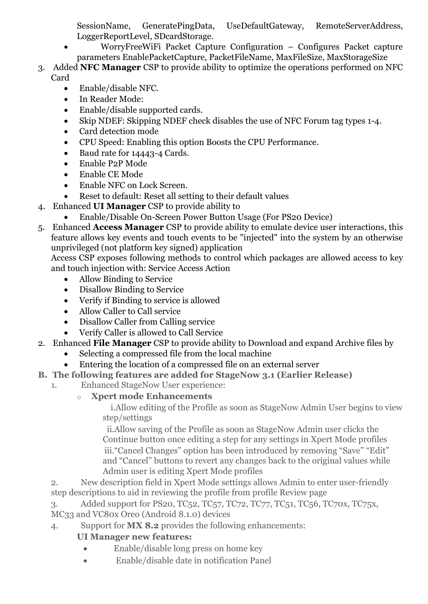SessionName, GeneratePingData, UseDefaultGateway, RemoteServerAddress, LoggerReportLevel, SDcardStorage.

- · WorryFreeWiFi Packet Capture Configuration Configures Packet capture parameters EnablePacketCapture, PacketFileName, MaxFileSize, MaxStorageSize
- 3. Added **NFC Manager** CSP to provide ability to optimize the operations performed on NFC Card
	- · Enable/disable NFC.
	- · In Reader Mode:
	- · Enable/disable supported cards.
	- Skip NDEF: Skipping NDEF check disables the use of NFC Forum tag types 1-4.
	- · Card detection mode
	- · CPU Speed: Enabling this option Boosts the CPU Performance.
	- · Baud rate for 14443-4 Cards.
	- · Enable P2P Mode
	- · Enable CE Mode
	- · Enable NFC on Lock Screen.
	- Reset to default: Reset all setting to their default values
- 4. Enhanced **UI Manager** CSP to provide ability to
	- · Enable/Disable On-Screen Power Button Usage (For PS20 Device)
- 5. Enhanced **Access Manager** CSP to provide ability to emulate device user interactions, this feature allows key events and touch events to be "injected" into the system by an otherwise unprivileged (not platform key signed) application

Access CSP exposes following methods to control which packages are allowed access to key and touch injection with: Service Access Action

- · Allow Binding to Service
- · Disallow Binding to Service
- · Verify if Binding to service is allowed
- · Allow Caller to Call service
- · Disallow Caller from Calling service
- · Verify Caller is allowed to Call Service
- 2. Enhanced **File Manager** CSP to provide ability to Download and expand Archive files by
	- Selecting a compressed file from the local machine
	- Entering the location of a compressed file on an external server
- **B. The following features are added for StageNow 3.1 (Earlier Release)**
	- 1. Enhanced StageNow User experience:
		- o **Xpert mode Enhancements**

i.Allow editing of the Profile as soon as StageNow Admin User begins to view step/settings

ii.Allow saving of the Profile as soon as StageNow Admin user clicks the Continue button once editing a step for any settings in Xpert Mode profiles iii."Cancel Changes" option has been introduced by removing "Save" "Edit" and "Cancel" buttons to revert any changes back to the original values while Admin user is editing Xpert Mode profiles

- 2. New description field in Xpert Mode settings allows Admin to enter user-friendly step descriptions to aid in reviewing the profile from profile Review page
- 3. Added support for PS20, TC52, TC57, TC72, TC77, TC51, TC56, TC70x, TC75x,
- MC33 and VC80x Oreo (Android 8.1.0) devices
- 4. Support for **MX 8.2** provides the following enhancements:

#### **UI Manager new features:**

- · Enable/disable long press on home key
- · Enable/disable date in notification Panel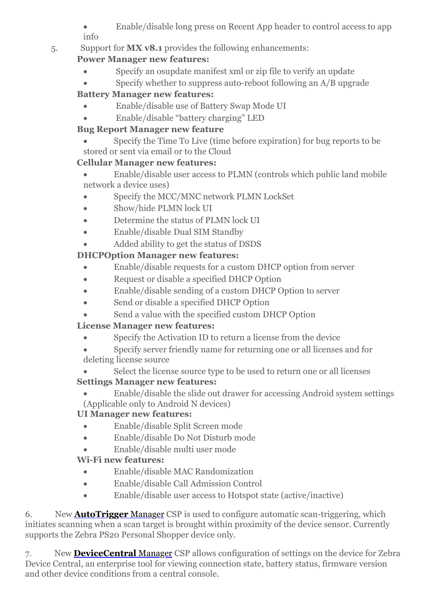Enable/disable long press on Recent App header to control access to app info

#### 5. Support for **MX v8.1** provides the following enhancements:

#### **Power Manager new features:**

- · Specify an osupdate manifest xml or zip file to verify an update
- Specify whether to suppress auto-reboot following an A/B upgrade

#### **Battery Manager new features:**

- · Enable/disable use of Battery Swap Mode UI
- · Enable/disable "battery charging" LED

#### **Bug Report Manager new feature**

Specify the Time To Live (time before expiration) for bug reports to be stored or sent via email or to the Cloud

#### **Cellular Manager new features:**

· Enable/disable user access to PLMN (controls which public land mobile network a device uses)

- Specify the MCC/MNC network PLMN LockSet
- Show/hide PLMN lock UI
- Determine the status of PLMN lock UI
- · Enable/disable Dual SIM Standby
- · Added ability to get the status of DSDS

### **DHCPOption Manager new features:**

- · Enable/disable requests for a custom DHCP option from server
- · Request or disable a specified DHCP Option
- Enable/disable sending of a custom DHCP Option to server
- · Send or disable a specified DHCP Option
- Send a value with the specified custom DHCP Option

### **License Manager new features:**

- · Specify the Activation ID to return a license from the device
- Specify server friendly name for returning one or all licenses and for deleting license source
- Select the license source type to be used to return one or all licenses **Settings Manager new features:**
- Enable/disable the slide out drawer for accessing Android system settings (Applicable only to Android N devices)

### **UI Manager new features:**

- · Enable/disable Split Screen mode
- · Enable/disable Do Not Disturb mode
- · Enable/disable multi user mode

### **Wi-Fi new features:**

- · Enable/disable MAC Randomization
- · Enable/disable Call Admission Control
- Enable/disable user access to Hotspot state (active/inactive)

6. New **[AutoTrigger](http://zebra-stage.github.io/stagenow/3-1/csp/autotriggermgr)** Manager CSP is used to configure automatic scan-triggering, which initiates scanning when a scan target is brought within proximity of the device sensor. Currently supports the Zebra PS20 Personal Shopper device only.

7. New **[DeviceCentral](http://zebra-stage.github.io/stagenow/3-1/csp/devicecentralmgr)** Manager CSP allows configuration of settings on the device for Zebra Device Central, an enterprise tool for viewing connection state, battery status, firmware version and other device conditions from a central console.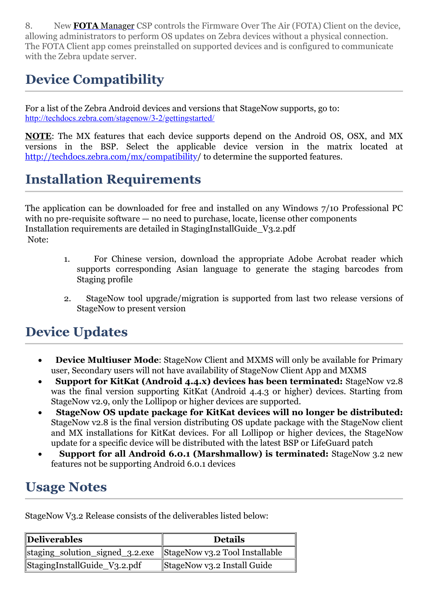8. New **FOTA** [Manager](http://zebra-stage.github.io/stagenow/3-1/csp/fotamgr) CSP controls the Firmware Over The Air (FOTA) Client on the device, allowing administrators to perform OS updates on Zebra devices without a physical connection. The FOTA Client app comes preinstalled on supported devices and is configured to communicate with the Zebra update server.

## <span id="page-4-0"></span>**Device Compatibility**

For a list of the Zebra Android devices and versions that StageNow supports, go to: <http://techdocs.zebra.com/stagenow/3-2/gettingstarted/>

**NOTE**: The MX features that each device supports depend on the Android OS, OSX, and MX versions in the BSP. Select the applicable device version in the matrix located at <http://techdocs.zebra.com/mx/compatibility>/ to determine the supported features.

## <span id="page-4-1"></span>**Installation Requirements**

The application can be downloaded for free and installed on any Windows 7/10 Professional PC with no pre-requisite software — no need to purchase, locate, license other components Installation requirements are detailed in StagingInstallGuide\_V3.2.pdf Note:

- 1. For Chinese version, download the appropriate Adobe Acrobat reader which supports corresponding Asian language to generate the staging barcodes from Staging profile
- 2. StageNow tool upgrade/migration is supported from last two release versions of StageNow to present version

### <span id="page-4-2"></span>**Device Updates**

- · **Device Multiuser Mode**: StageNow Client and MXMS will only be available for Primary user, Secondary users will not have availability of StageNow Client App and MXMS
- **Support for KitKat (Android 4.4.x) devices has been terminated:** StageNow v2.8 was the final version supporting KitKat (Android 4.4.3 or higher) devices. Starting from StageNow v2.9, only the Lollipop or higher devices are supported.
- · **StageNow OS update package for KitKat devices will no longer be distributed:** StageNow v2.8 is the final version distributing OS update package with the StageNow client and MX installations for KitKat devices. For all Lollipop or higher devices, the StageNow update for a specific device will be distributed with the latest BSP or LifeGuard patch
- · **Support for all Android 6.0.1 (Marshmallow) is terminated:** StageNow 3.2 new features not be supporting Android 6.0.1 devices

### <span id="page-4-3"></span>**Usage Notes**

StageNow V3.2 Release consists of the deliverables listed below:

| Deliverables                                                   | <b>Details</b>              |
|----------------------------------------------------------------|-----------------------------|
| staging_solution_signed_3.2.exe StageNow v3.2 Tool Installable |                             |
| StagingInstallGuide_V3.2.pdf                                   | StageNow v3.2 Install Guide |